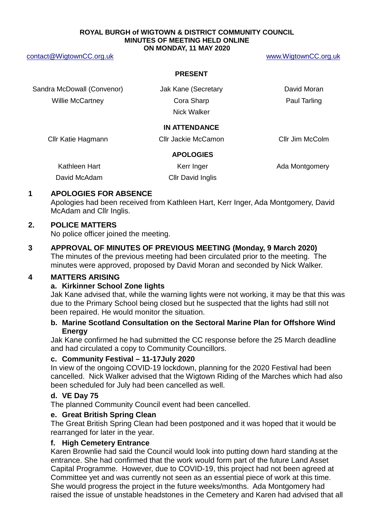#### **ROYAL BURGH of WIGTOWN & DISTRICT COMMUNITY COUNCIL MINUTES OF MEETING HELD ONLINE ON MONDAY, 11 MAY 2020**

[contact@WigtownCC.org.uk](mailto:contact@WigtownCC.org.uk) [www.WigtownCC.org.uk](http://www.wigtowncc.org.uk/)

#### **PRESENT**

Sandra McDowall (Convenor) **Sandra McDowall** Convenor) Jak Kane (Secretary **David Moran** Willie McCartney **Cora Sharp Paul Tarling** Paul Tarling

Nick Walker

## **IN ATTENDANCE**

Cllr Katie Hagmann Cllr Jackie McCamon Cllr Jim McColm

## **APOLOGIES**

Kathleen Hart **Kerr Inger** Kerr Inger Ada Montgomery

David McAdam Cllr David Inglis

## **1 APOLOGIES FOR ABSENCE**

Apologies had been received from Kathleen Hart, Kerr Inger, Ada Montgomery, David McAdam and Cllr Inglis.

## **2. POLICE MATTERS**

No police officer joined the meeting.

**3 APPROVAL OF MINUTES OF PREVIOUS MEETING (Monday, 9 March 2020)** The minutes of the previous meeting had been circulated prior to the meeting. The minutes were approved, proposed by David Moran and seconded by Nick Walker.

# **4 MATTERS ARISING**

## **a. Kirkinner School Zone lights**

Jak Kane advised that, while the warning lights were not working, it may be that this was due to the Primary School being closed but he suspected that the lights had still not been repaired. He would monitor the situation.

## **b. Marine Scotland Consultation on the Sectoral Marine Plan for Offshore Wind Energy**

Jak Kane confirmed he had submitted the CC response before the 25 March deadline and had circulated a copy to Community Councillors.

## **c. Community Festival – 11-17July 2020**

In view of the ongoing COVID-19 lockdown, planning for the 2020 Festival had been cancelled. Nick Walker advised that the Wigtown Riding of the Marches which had also been scheduled for July had been cancelled as well.

## **d. VE Day 75**

The planned Community Council event had been cancelled.

## **e. Great British Spring Clean**

The Great British Spring Clean had been postponed and it was hoped that it would be rearranged for later in the year.

## **f. High Cemetery Entrance**

Karen Brownlie had said the Council would look into putting down hard standing at the entrance. She had confirmed that the work would form part of the future Land Asset Capital Programme. However, due to COVID-19, this project had not been agreed at Committee yet and was currently not seen as an essential piece of work at this time. She would progress the project in the future weeks/months. Ada Montgomery had raised the issue of unstable headstones in the Cemetery and Karen had advised that all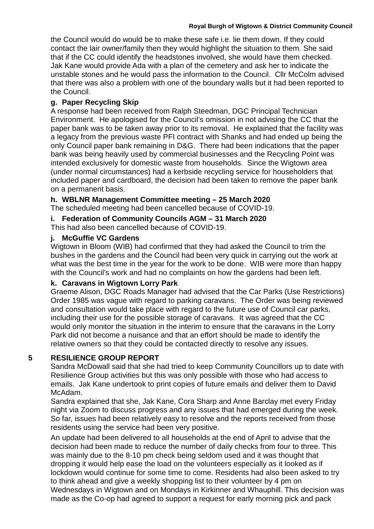#### **Royal Burgh of Wigtown & District Community Council**

the Council would do would be to make these safe i.e. lie them down. If they could contact the lair owner/family then they would highlight the situation to them. She said that if the CC could identify the headstones involved, she would have them checked. Jak Kane would provide Ada with a plan of the cemetery and ask her to indicate the unstable stones and he would pass the information to the Council. Cllr McColm advised that there was also a problem with one of the boundary walls but it had been reported to the Council.

## **g. Paper Recycling Skip**

A response had been received from Ralph Steedman, DGC Principal Technician Environment. He apologised for the Council's omission in not advising the CC that the paper bank was to be taken away prior to its removal. He explained that the facility was a legacy from the previous waste PFI contract with Shanks and had ended up being the only Council paper bank remaining in D&G. There had been indications that the paper bank was being heavily used by commercial businesses and the Recycling Point was intended exclusively for domestic waste from households. Since the Wigtown area (under normal circumstances) had a kerbside recycling service for householders that included paper and cardboard, the decision had been taken to remove the paper bank on a permanent basis.

## **h. WBLNR Management Committee meeting – 25 March 2020**

The scheduled meeting had been cancelled because of COVID-19.

**i. Federation of Community Councils AGM – 31 March 2020**

This had also been cancelled because of COVID-19.

## **j. McGuffie VC Gardens**

Wigtown in Bloom (WIB) had confirmed that they had asked the Council to trim the bushes in the gardens and the Council had been very quick in carrying out the work at what was the best time in the year for the work to be done. WIB were more than happy with the Council's work and had no complaints on how the gardens had been left.

## **k. Caravans in Wigtown Lorry Park**

Graeme Alison, DGC Roads Manager had advised that the Car Parks (Use Restrictions) Order 1985 was vague with regard to parking caravans. The Order was being reviewed and consultation would take place with regard to the future use of Council car parks, including their use for the possible storage of caravans. It was agreed that the CC would only monitor the situation in the interim to ensure that the caravans in the Lorry Park did not become a nuisance and that an effort should be made to identify the relative owners so that they could be contacted directly to resolve any issues.

# **5 RESILIENCE GROUP REPORT**

Sandra McDowall said that she had tried to keep Community Councillors up to date with Resilience Group activities but this was only possible with those who had access to emails. Jak Kane undertook to print copies of future emails and deliver them to David McAdam.

Sandra explained that she, Jak Kane, Cora Sharp and Anne Barclay met every Friday night via Zoom to discuss progress and any issues that had emerged during the week. So far, issues had been relatively easy to resolve and the reports received from those residents using the service had been very positive.

An update had been delivered to all households at the end of April to advise that the decision had been made to reduce the number of daily checks from four to three. This was mainly due to the 8-10 pm check being seldom used and it was thought that dropping it would help ease the load on the volunteers especially as it looked as if lockdown would continue for some time to come. Residents had also been asked to try to think ahead and give a weekly shopping list to their volunteer by 4 pm on Wednesdays in Wigtown and on Mondays in Kirkinner and Whauphill. This decision was made as the Co-op had agreed to support a request for early morning pick and pack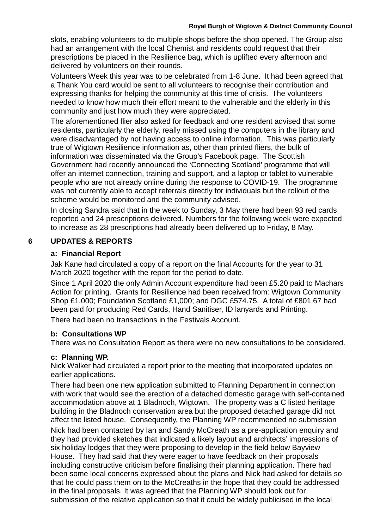slots, enabling volunteers to do multiple shops before the shop opened. The Group also had an arrangement with the local Chemist and residents could request that their prescriptions be placed in the Resilience bag, which is uplifted every afternoon and delivered by volunteers on their rounds.

Volunteers Week this year was to be celebrated from 1-8 June. It had been agreed that a Thank You card would be sent to all volunteers to recognise their contribution and expressing thanks for helping the community at this time of crisis. The volunteers needed to know how much their effort meant to the vulnerable and the elderly in this community and just how much they were appreciated.

The aforementioned flier also asked for feedback and one resident advised that some residents, particularly the elderly, really missed using the computers in the library and were disadvantaged by not having access to online information. This was particularly true of Wigtown Resilience information as, other than printed fliers, the bulk of information was disseminated via the Group's Facebook page. The Scottish Government had recently announced the 'Connecting Scotland' programme that will offer an internet connection, training and support, and a laptop or tablet to vulnerable people who are not already online during the response to COVID-19. The programme was not currently able to accept referrals directly for individuals but the rollout of the scheme would be monitored and the community advised.

In closing Sandra said that in the week to Sunday, 3 May there had been 93 red cards reported and 24 prescriptions delivered. Numbers for the following week were expected to increase as 28 prescriptions had already been delivered up to Friday, 8 May.

## **6 UPDATES & REPORTS**

#### **a: Financial Report**

Jak Kane had circulated a copy of a report on the final Accounts for the year to 31 March 2020 together with the report for the period to date.

Since 1 April 2020 the only Admin Account expenditure had been £5.20 paid to Machars Action for printing. Grants for Resilience had been received from: Wigtown Community Shop £1,000; Foundation Scotland £1,000; and DGC £574.75. A total of £801.67 had been paid for producing Red Cards, Hand Sanitiser, ID lanyards and Printing.

There had been no transactions in the Festivals Account.

#### **b: Consultations WP**

There was no Consultation Report as there were no new consultations to be considered.

## **c: Planning WP.**

Nick Walker had circulated a report prior to the meeting that incorporated updates on earlier applications.

There had been one new application submitted to Planning Department in connection with work that would see the erection of a detached domestic garage with self-contained accommodation above at 1 Bladnoch, Wigtown. The property was a C listed heritage building in the Bladnoch conservation area but the proposed detached garage did not affect the listed house. Consequently, the Planning WP recommended no submission Nick had been contacted by Ian and Sandy McCreath as a pre-application enquiry and they had provided sketches that indicated a likely layout and architects' impressions of six holiday lodges that they were proposing to develop in the field below Bayview House. They had said that they were eager to have feedback on their proposals including constructive criticism before finalising their planning application. There had been some local concerns expressed about the plans and Nick had asked for details so that he could pass them on to the McCreaths in the hope that they could be addressed in the final proposals. It was agreed that the Planning WP should look out for submission of the relative application so that it could be widely publicised in the local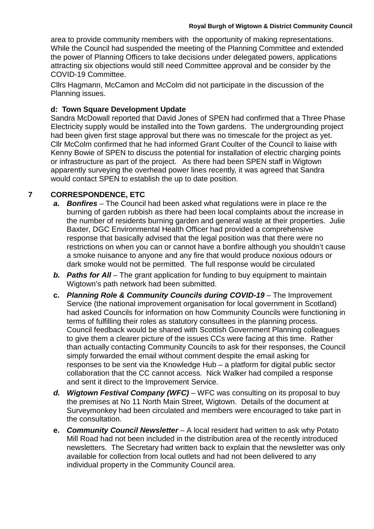area to provide community members with the opportunity of making representations. While the Council had suspended the meeting of the Planning Committee and extended the power of Planning Officers to take decisions under delegated powers, applications attracting six objections would still need Committee approval and be consider by the COVID-19 Committee.

Cllrs Hagmann, McCamon and McColm did not participate in the discussion of the Planning issues.

## **d: Town Square Development Update**

Sandra McDowall reported that David Jones of SPEN had confirmed that a Three Phase Electricity supply would be installed into the Town gardens. The undergrounding project had been given first stage approval but there was no timescale for the project as yet. Cllr McColm confirmed that he had informed Grant Coulter of the Council to liaise with Kenny Bowie of SPEN to discuss the potential for installation of electric charging points or infrastructure as part of the project. As there had been SPEN staff in Wigtown apparently surveying the overhead power lines recently, it was agreed that Sandra would contact SPEN to establish the up to date position.

# **7 CORRESPONDENCE, ETC**

- *a. Bonfires*  The Council had been asked what regulations were in place re the burning of garden rubbish as there had been local complaints about the increase in the number of residents burning garden and general waste at their properties. Julie Baxter, DGC Environmental Health Officer had provided a comprehensive response that basically advised that the legal position was that there were no restrictions on when you can or cannot have a bonfire although you shouldn't cause a smoke nuisance to anyone and any fire that would produce noxious odours or dark smoke would not be permitted. The full response would be circulated
- *b. Paths for All* The grant application for funding to buy equipment to maintain Wigtown's path network had been submitted.
- **c.** *Planning Role & Community Councils during COVID-19* The Improvement Service (the national improvement organisation for local government in Scotland) had asked Councils for information on how Community Councils were functioning in terms of fulfilling their roles as statutory consultees in the planning process. Council feedback would be shared with Scottish Government Planning colleagues to give them a clearer picture of the issues CCs were facing at this time. Rather than actually contacting Community Councils to ask for their responses, the Council simply forwarded the email without comment despite the email asking for responses to be sent via the Knowledge Hub – a platform for digital public sector collaboration that the CC cannot access. Nick Walker had compiled a response and sent it direct to the Improvement Service.
- *d. Wigtown Festival Company (WFC)*  WFC was consulting on its proposal to buy the premises at No 11 North Main Street, Wigtown. Details of the document at Surveymonkey had been circulated and members were encouraged to take part in the consultation.
- **e.** *Community Council Newsletter*  A local resident had written to ask why Potato Mill Road had not been included in the distribution area of the recently introduced newsletters. The Secretary had written back to explain that the newsletter was only available for collection from local outlets and had not been delivered to any individual property in the Community Council area.